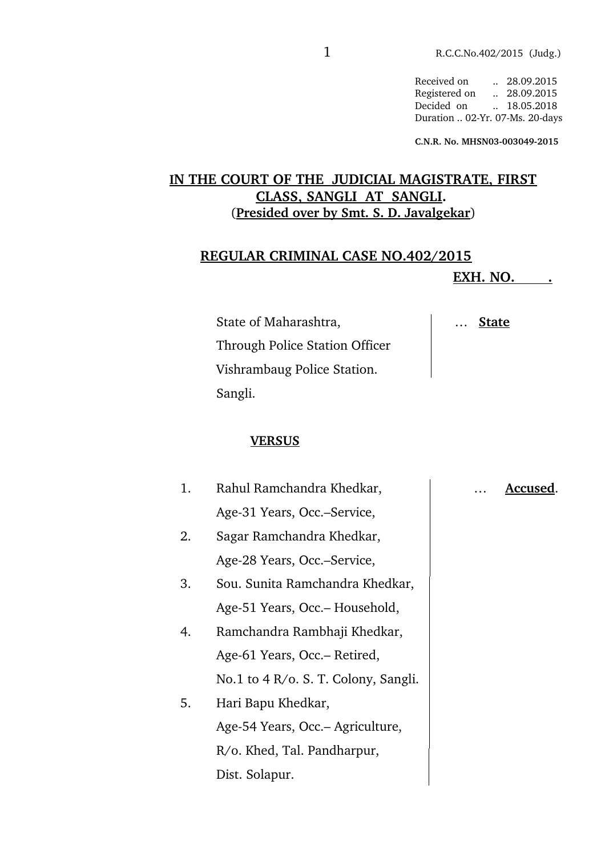Received on ... 28.09.2015 Registered on ... 28.09.2015 Decided on ... 18.05.2018 Duration .. 02-Yr. 07-Ms. 20-days

**C.N.R. No. MHSN03-003049-2015** 

# **IN THE COURT OF THE JUDICIAL MAGISTRATE, FIRST CLASS, SANGLI AT SANGLI.**  ( **Presided over by Smt. S. D. Javalgekar**)

# **REGULAR CRIMINAL CASE NO.402/2015**

**EXH. NO. .**

State of Maharashtra, **Branch Contains a State** Through Police Station Officer Vishrambaug Police Station. Sangli.

### **VERSUS**

| 1. | Rahul Ramchandra Khedkar,                       |  | Accused. |
|----|-------------------------------------------------|--|----------|
|    | Age-31 Years, Occ.–Service,                     |  |          |
| 2. | Sagar Ramchandra Khedkar,                       |  |          |
|    | Age-28 Years, Occ.-Service,                     |  |          |
| 3. | Sou. Sunita Ramchandra Khedkar,                 |  |          |
|    | Age-51 Years, Occ. – Household,                 |  |          |
| 4. | Ramchandra Rambhaji Khedkar,                    |  |          |
|    | Age-61 Years, Occ. – Retired,                   |  |          |
|    | No.1 to $4 \text{ R/o}$ . S. T. Colony, Sangli. |  |          |
| 5. | Hari Bapu Khedkar,                              |  |          |
|    | Age-54 Years, Occ. - Agriculture,               |  |          |
|    | R/o. Khed, Tal. Pandharpur,                     |  |          |
|    | Dist. Solapur.                                  |  |          |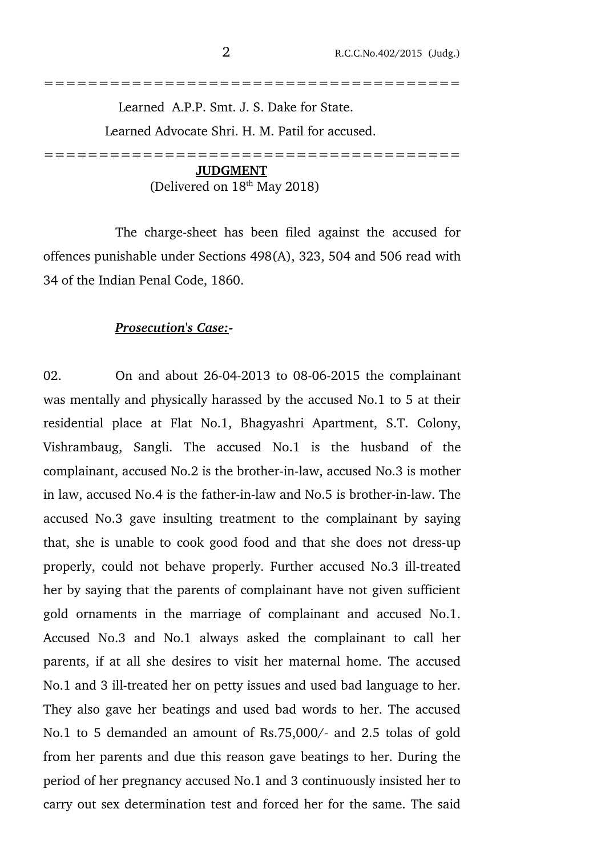====================================== Learned A.P.P. Smt. J. S. Dake for State.

Learned Advocate Shri. H. M. Patil for accused.

======================================

 **JUDGMENT** (Delivered on 18th May 2018)

The charge-sheet has been filed against the accused for offences punishable under Sections 498(A), 323, 504 and 506 read with 34 of the Indian Penal Code, 1860.

# *Prosecution's Case:*

02. On and about 26-04-2013 to 08-06-2015 the complainant was mentally and physically harassed by the accused No.1 to 5 at their residential place at Flat No.1, Bhagyashri Apartment, S.T. Colony, Vishrambaug, Sangli. The accused No.1 is the husband of the complainant, accused No.2 is the brother-in-law, accused No.3 is mother in law, accused No.4 is the father-in-law and No.5 is brother-in-law. The accused No.3 gave insulting treatment to the complainant by saying that, she is unable to cook good food and that she does not dress-up properly, could not behave properly. Further accused No.3 ill-treated her by saying that the parents of complainant have not given sufficient gold ornaments in the marriage of complainant and accused No.1. Accused No.3 and No.1 always asked the complainant to call her parents, if at all she desires to visit her maternal home. The accused No.1 and 3 ill-treated her on petty issues and used bad language to her. They also gave her beatings and used bad words to her. The accused No.1 to 5 demanded an amount of Rs.75,000/- and 2.5 tolas of gold from her parents and due this reason gave beatings to her. During the period of her pregnancy accused No.1 and 3 continuously insisted her to carry out sex determination test and forced her for the same. The said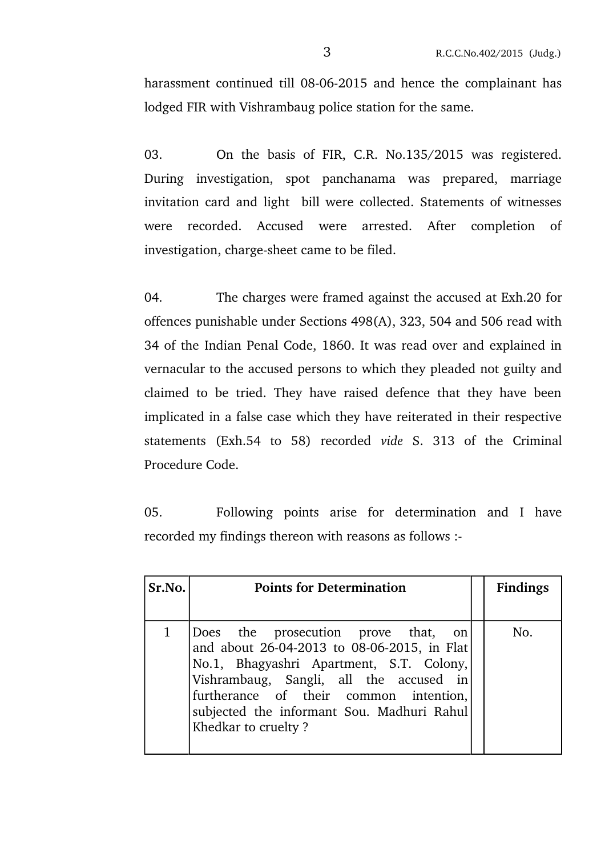harassment continued till 08-06-2015 and hence the complainant has lodged FIR with Vishrambaug police station for the same.

03. On the basis of FIR, C.R. No.135/2015 was registered. During investigation, spot panchanama was prepared, marriage invitation card and light bill were collected. Statements of witnesses were recorded. Accused were arrested. After completion of investigation, charge-sheet came to be filed.

04. The charges were framed against the accused at Exh.20 for offences punishable under Sections 498(A), 323, 504 and 506 read with 34 of the Indian Penal Code, 1860. It was read over and explained in vernacular to the accused persons to which they pleaded not guilty and claimed to be tried. They have raised defence that they have been implicated in a false case which they have reiterated in their respective statements (Exh.54 to 58) recorded *vide* S. 313 of the Criminal Procedure Code.

05. Following points arise for determination and I have recorded my findings thereon with reasons as follows :

| Sr.No. | <b>Points for Determination</b>                                                                                                                                                                                                                                                          |  | <b>Findings</b> |
|--------|------------------------------------------------------------------------------------------------------------------------------------------------------------------------------------------------------------------------------------------------------------------------------------------|--|-----------------|
|        |                                                                                                                                                                                                                                                                                          |  |                 |
|        | Does the prosecution prove that, on<br>and about 26-04-2013 to 08-06-2015, in Flat<br>No.1, Bhagyashri Apartment, S.T. Colony,<br>Vishrambaug, Sangli, all the accused in<br>furtherance of their common intention,<br>subjected the informant Sou. Madhuri Rahul<br>Khedkar to cruelty? |  | No.             |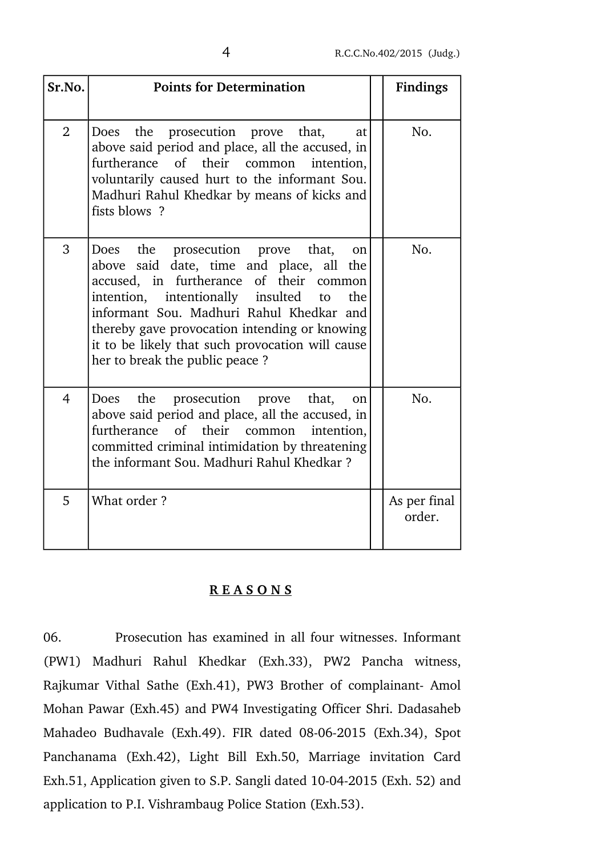| Sr.No.         | <b>Points for Determination</b>                                                                                                                                                                                                                                                                                                                                     |  | <b>Findings</b>        |
|----------------|---------------------------------------------------------------------------------------------------------------------------------------------------------------------------------------------------------------------------------------------------------------------------------------------------------------------------------------------------------------------|--|------------------------|
| $\overline{2}$ | prosecution prove that,<br>the<br>Does<br>at<br>above said period and place, all the accused, in<br>of their<br>furtherance<br>common<br>intention,<br>voluntarily caused hurt to the informant Sou.<br>Madhuri Rahul Khedkar by means of kicks and<br>fists blows ?                                                                                                |  | No.                    |
| 3              | Does the prosecution prove that,<br>on<br>above said date, time and place, all the<br>accused, in furtherance of their common<br>intention, intentionally insulted<br>the.<br>to<br>informant Sou. Madhuri Rahul Khedkar and<br>thereby gave provocation intending or knowing<br>it to be likely that such provocation will cause<br>her to break the public peace? |  | No.                    |
| $\overline{4}$ | the<br>prosecution prove<br>that,<br>Does<br>$\lfloor$ on<br>above said period and place, all the accused, in<br>furtherance of<br>their<br>common<br>intention,<br>committed criminal intimidation by threatening<br>the informant Sou. Madhuri Rahul Khedkar?                                                                                                     |  | No.                    |
| 5              | What order?                                                                                                                                                                                                                                                                                                                                                         |  | As per final<br>order. |

## **R E A S O N S**

06. Prosecution has examined in all four witnesses. Informant (PW1) Madhuri Rahul Khedkar (Exh.33), PW2 Pancha witness, Rajkumar Vithal Sathe (Exh.41), PW3 Brother of complainant Amol Mohan Pawar (Exh.45) and PW4 Investigating Officer Shri. Dadasaheb Mahadeo Budhavale (Exh.49). FIR dated 08-06-2015 (Exh.34), Spot Panchanama (Exh.42), Light Bill Exh.50, Marriage invitation Card Exh.51, Application given to S.P. Sangli dated 10-04-2015 (Exh. 52) and application to P.I. Vishrambaug Police Station (Exh.53).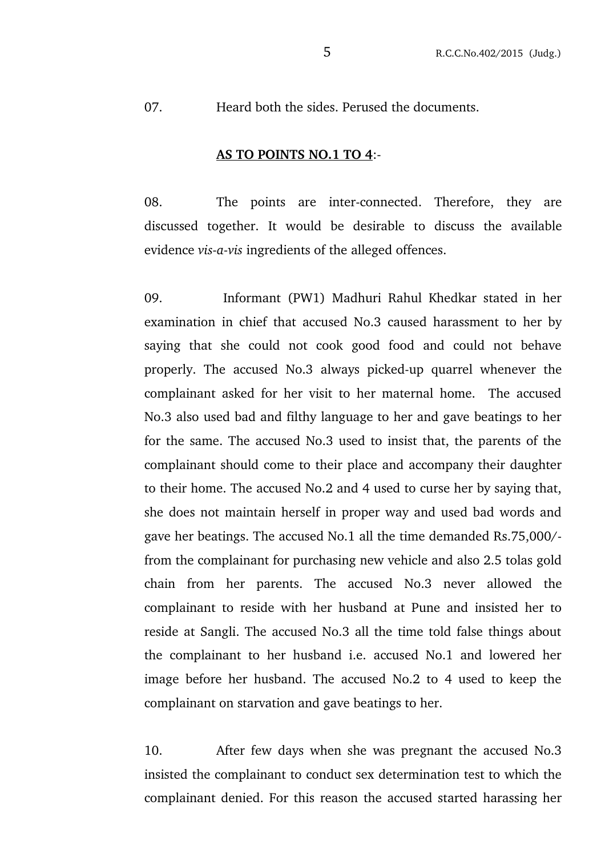07. Heard both the sides. Perused the documents.

#### **AS TO POINTS NO.1 TO 4**:

08. The points are inter-connected. Therefore, they are discussed together. It would be desirable to discuss the available evidence *vis-a-vis* ingredients of the alleged offences.

09. Informant (PW1) Madhuri Rahul Khedkar stated in her examination in chief that accused No.3 caused harassment to her by saying that she could not cook good food and could not behave properly. The accused No.3 always picked-up quarrel whenever the complainant asked for her visit to her maternal home. The accused No.3 also used bad and filthy language to her and gave beatings to her for the same. The accused No.3 used to insist that, the parents of the complainant should come to their place and accompany their daughter to their home. The accused No.2 and 4 used to curse her by saying that, she does not maintain herself in proper way and used bad words and gave her beatings. The accused No.1 all the time demanded Rs.75,000/ from the complainant for purchasing new vehicle and also 2.5 tolas gold chain from her parents. The accused No.3 never allowed the complainant to reside with her husband at Pune and insisted her to reside at Sangli. The accused No.3 all the time told false things about the complainant to her husband i.e. accused No.1 and lowered her image before her husband. The accused No.2 to 4 used to keep the complainant on starvation and gave beatings to her.

10. After few days when she was pregnant the accused No.3 insisted the complainant to conduct sex determination test to which the complainant denied. For this reason the accused started harassing her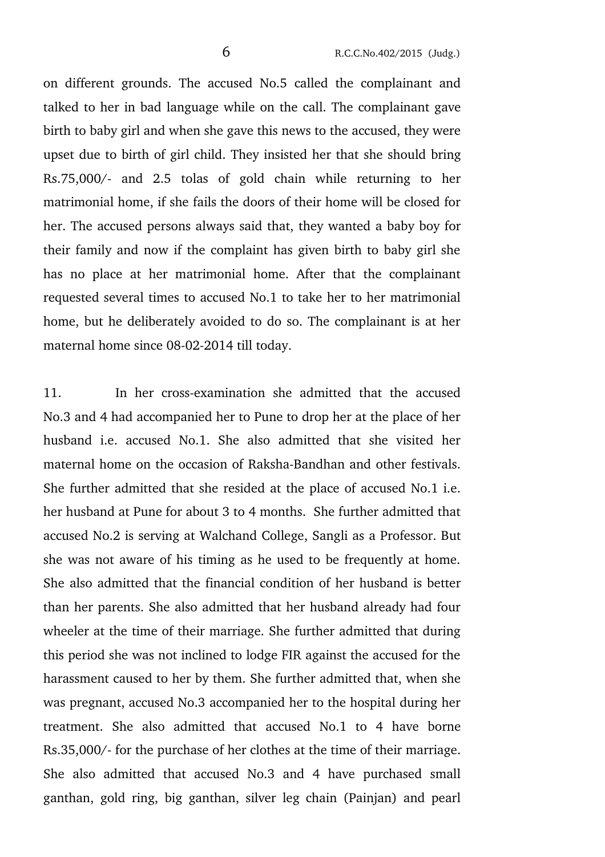on different grounds. The accused No.5 called the complainant and talked to her in bad language while on the call. The complainant gave birth to baby girl and when she gave this news to the accused, they were upset due to birth of girl child. They insisted her that she should bring Rs.75,000/- and 2.5 tolas of gold chain while returning to her matrimonial home, if she fails the doors of their home will be closed for her. The accused persons always said that, they wanted a baby boy for their family and now if the complaint has given birth to baby girl she has no place at her matrimonial home. After that the complainant requested several times to accused No.1 to take her to her matrimonial home, but he deliberately avoided to do so. The complainant is at her maternal home since 08-02-2014 till today.

11. In her cross-examination she admitted that the accused No.3 and 4 had accompanied her to Pune to drop her at the place of her husband i.e. accused No.1. She also admitted that she visited her maternal home on the occasion of Raksha-Bandhan and other festivals. She further admitted that she resided at the place of accused No.1 i.e. her husband at Pune for about 3 to 4 months. She further admitted that accused No.2 is serving at Walchand College, Sangli as a Professor. But she was not aware of his timing as he used to be frequently at home. She also admitted that the financial condition of her husband is better than her parents. She also admitted that her husband already had four wheeler at the time of their marriage. She further admitted that during this period she was not inclined to lodge FIR against the accused for the harassment caused to her by them. She further admitted that, when she was pregnant, accused No.3 accompanied her to the hospital during her treatment. She also admitted that accused No.1 to 4 have borne Rs.35,000/ for the purchase of her clothes at the time of their marriage. She also admitted that accused No.3 and 4 have purchased small ganthan, gold ring, big ganthan, silver leg chain (Painjan) and pearl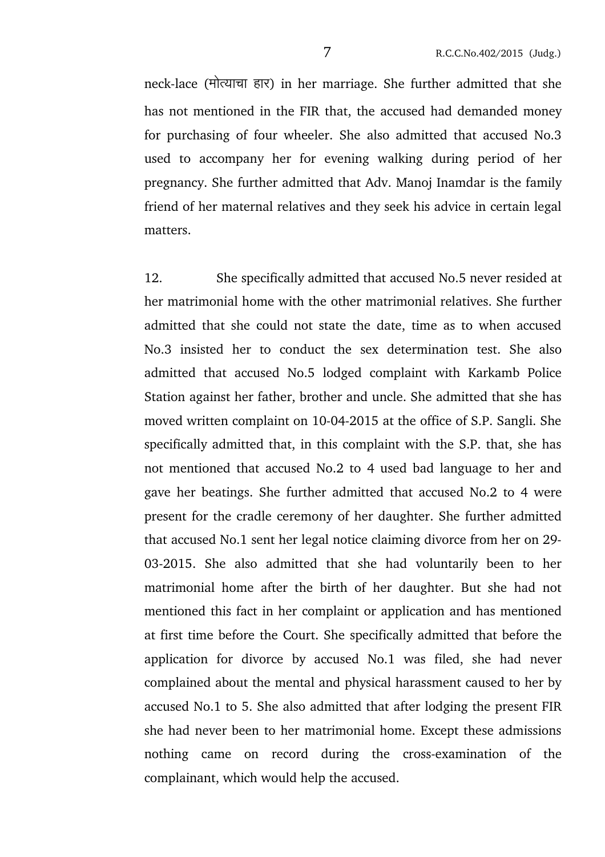neck-lace (मोत्याचा हार) in her marriage. She further admitted that she has not mentioned in the FIR that, the accused had demanded money for purchasing of four wheeler. She also admitted that accused No.3 used to accompany her for evening walking during period of her pregnancy. She further admitted that Adv. Manoj Inamdar is the family friend of her maternal relatives and they seek his advice in certain legal matters.

12. She specifically admitted that accused No.5 never resided at her matrimonial home with the other matrimonial relatives. She further admitted that she could not state the date, time as to when accused No.3 insisted her to conduct the sex determination test. She also admitted that accused No.5 lodged complaint with Karkamb Police Station against her father, brother and uncle. She admitted that she has moved written complaint on 10-04-2015 at the office of S.P. Sangli. She specifically admitted that, in this complaint with the S.P. that, she has not mentioned that accused No.2 to 4 used bad language to her and gave her beatings. She further admitted that accused No.2 to 4 were present for the cradle ceremony of her daughter. She further admitted that accused No.1 sent her legal notice claiming divorce from her on 29 03-2015. She also admitted that she had voluntarily been to her matrimonial home after the birth of her daughter. But she had not mentioned this fact in her complaint or application and has mentioned at first time before the Court. She specifically admitted that before the application for divorce by accused No.1 was filed, she had never complained about the mental and physical harassment caused to her by accused No.1 to 5. She also admitted that after lodging the present FIR she had never been to her matrimonial home. Except these admissions nothing came on record during the cross-examination of the complainant, which would help the accused.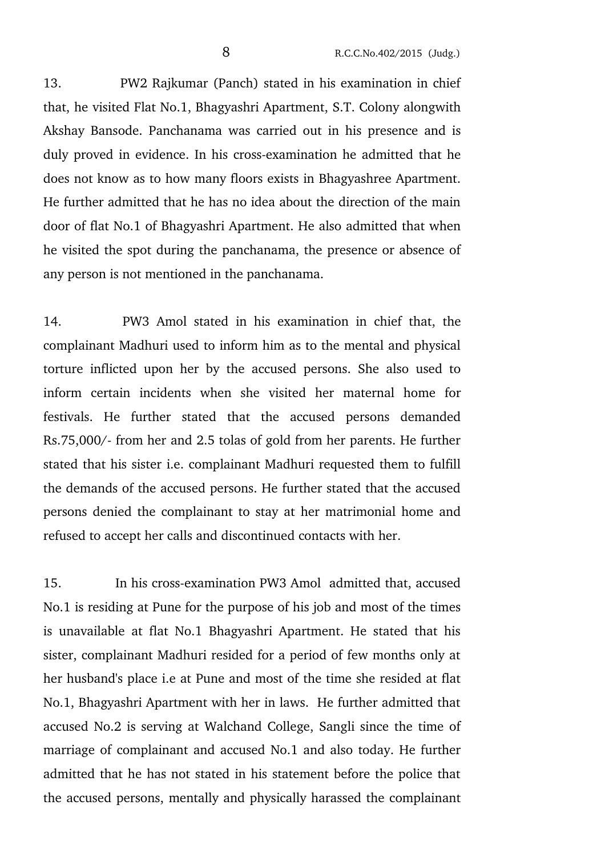13. PW2 Rajkumar (Panch) stated in his examination in chief that, he visited Flat No.1, Bhagyashri Apartment, S.T. Colony alongwith Akshay Bansode. Panchanama was carried out in his presence and is duly proved in evidence. In his cross-examination he admitted that he does not know as to how many floors exists in Bhagyashree Apartment. He further admitted that he has no idea about the direction of the main door of flat No.1 of Bhagyashri Apartment. He also admitted that when he visited the spot during the panchanama, the presence or absence of any person is not mentioned in the panchanama.

14. PW3 Amol stated in his examination in chief that, the complainant Madhuri used to inform him as to the mental and physical torture inflicted upon her by the accused persons. She also used to inform certain incidents when she visited her maternal home for festivals. He further stated that the accused persons demanded Rs.75,000/ from her and 2.5 tolas of gold from her parents. He further stated that his sister i.e. complainant Madhuri requested them to fulfill the demands of the accused persons. He further stated that the accused persons denied the complainant to stay at her matrimonial home and refused to accept her calls and discontinued contacts with her.

15. In his cross-examination PW3 Amol admitted that, accused No.1 is residing at Pune for the purpose of his job and most of the times is unavailable at flat No.1 Bhagyashri Apartment. He stated that his sister, complainant Madhuri resided for a period of few months only at her husband's place i.e at Pune and most of the time she resided at flat No.1, Bhagyashri Apartment with her in laws. He further admitted that accused No.2 is serving at Walchand College, Sangli since the time of marriage of complainant and accused No.1 and also today. He further admitted that he has not stated in his statement before the police that the accused persons, mentally and physically harassed the complainant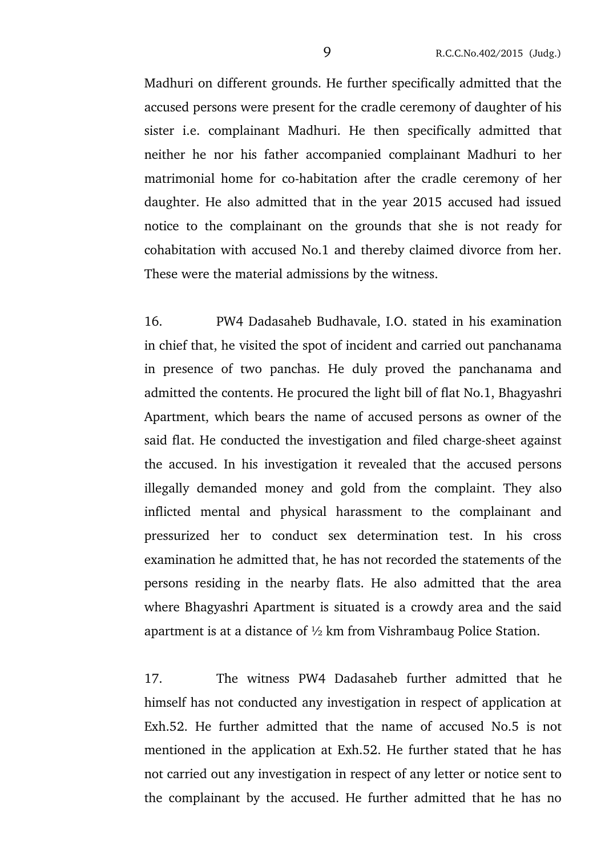Madhuri on different grounds. He further specifically admitted that the accused persons were present for the cradle ceremony of daughter of his sister i.e. complainant Madhuri. He then specifically admitted that neither he nor his father accompanied complainant Madhuri to her matrimonial home for co-habitation after the cradle ceremony of her daughter. He also admitted that in the year 2015 accused had issued notice to the complainant on the grounds that she is not ready for cohabitation with accused No.1 and thereby claimed divorce from her. These were the material admissions by the witness.

16. PW4 Dadasaheb Budhavale, I.O. stated in his examination in chief that, he visited the spot of incident and carried out panchanama in presence of two panchas. He duly proved the panchanama and admitted the contents. He procured the light bill of flat No.1, Bhagyashri Apartment, which bears the name of accused persons as owner of the said flat. He conducted the investigation and filed charge-sheet against the accused. In his investigation it revealed that the accused persons illegally demanded money and gold from the complaint. They also inflicted mental and physical harassment to the complainant and pressurized her to conduct sex determination test. In his cross examination he admitted that, he has not recorded the statements of the persons residing in the nearby flats. He also admitted that the area where Bhagyashri Apartment is situated is a crowdy area and the said apartment is at a distance of ½ km from Vishrambaug Police Station.

17. The witness PW4 Dadasaheb further admitted that he himself has not conducted any investigation in respect of application at Exh.52. He further admitted that the name of accused No.5 is not mentioned in the application at Exh.52. He further stated that he has not carried out any investigation in respect of any letter or notice sent to the complainant by the accused. He further admitted that he has no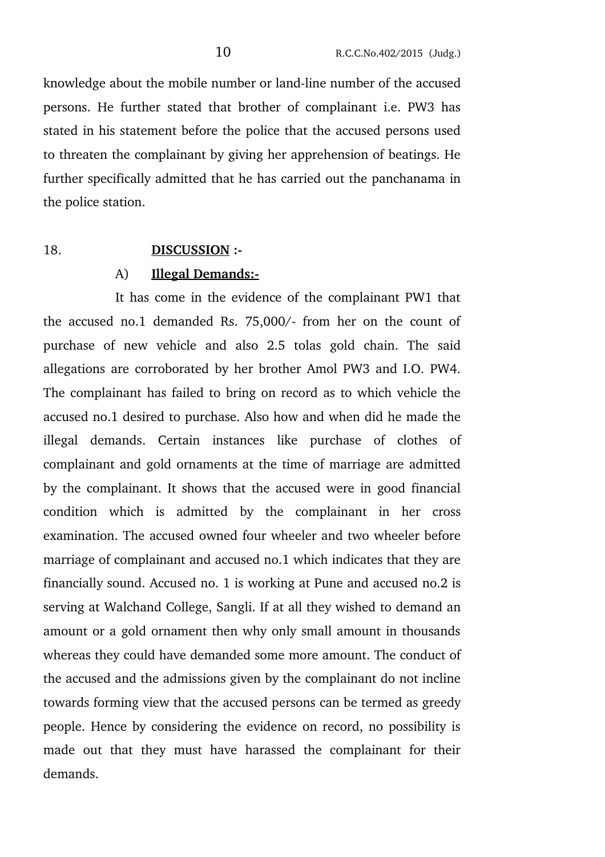knowledge about the mobile number or land-line number of the accused persons. He further stated that brother of complainant i.e. PW3 has stated in his statement before the police that the accused persons used to threaten the complainant by giving her apprehension of beatings. He further specifically admitted that he has carried out the panchanama in the police station.

# 18. **DISCUSSION :**

# A) **Illegal Demands:**

It has come in the evidence of the complainant PW1 that the accused no.1 demanded Rs. 75,000/- from her on the count of purchase of new vehicle and also 2.5 tolas gold chain. The said allegations are corroborated by her brother Amol PW3 and I.O. PW4. The complainant has failed to bring on record as to which vehicle the accused no.1 desired to purchase. Also how and when did he made the illegal demands. Certain instances like purchase of clothes of complainant and gold ornaments at the time of marriage are admitted by the complainant. It shows that the accused were in good financial condition which is admitted by the complainant in her cross examination. The accused owned four wheeler and two wheeler before marriage of complainant and accused no.1 which indicates that they are financially sound. Accused no. 1 is working at Pune and accused no.2 is serving at Walchand College, Sangli. If at all they wished to demand an amount or a gold ornament then why only small amount in thousands whereas they could have demanded some more amount. The conduct of the accused and the admissions given by the complainant do not incline towards forming view that the accused persons can be termed as greedy people. Hence by considering the evidence on record, no possibility is made out that they must have harassed the complainant for their demands.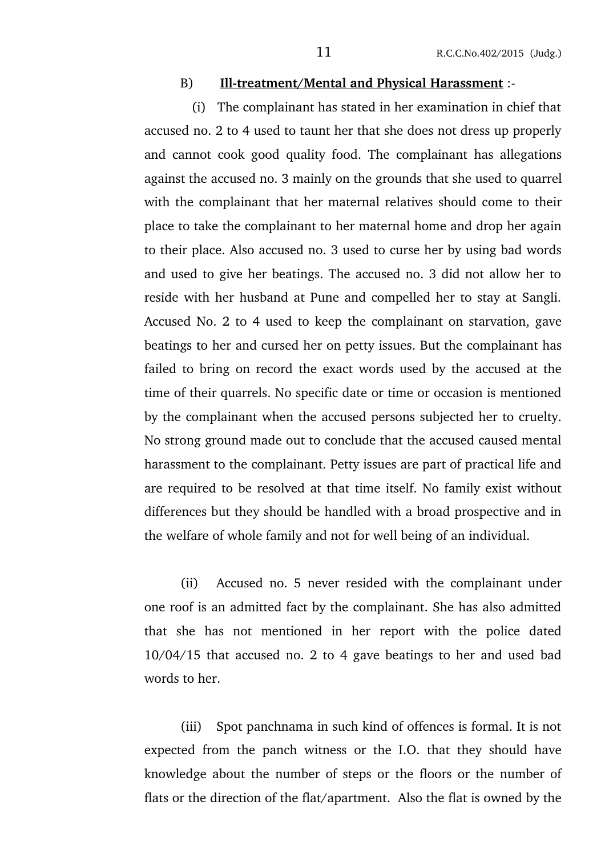#### B) **Ill-treatment/Mental and Physical Harassment** :-

 (i) The complainant has stated in her examination in chief that accused no. 2 to 4 used to taunt her that she does not dress up properly and cannot cook good quality food. The complainant has allegations against the accused no. 3 mainly on the grounds that she used to quarrel with the complainant that her maternal relatives should come to their place to take the complainant to her maternal home and drop her again to their place. Also accused no. 3 used to curse her by using bad words and used to give her beatings. The accused no. 3 did not allow her to reside with her husband at Pune and compelled her to stay at Sangli. Accused No. 2 to 4 used to keep the complainant on starvation, gave beatings to her and cursed her on petty issues. But the complainant has failed to bring on record the exact words used by the accused at the time of their quarrels. No specific date or time or occasion is mentioned by the complainant when the accused persons subjected her to cruelty. No strong ground made out to conclude that the accused caused mental harassment to the complainant. Petty issues are part of practical life and are required to be resolved at that time itself. No family exist without differences but they should be handled with a broad prospective and in the welfare of whole family and not for well being of an individual.

(ii) Accused no. 5 never resided with the complainant under one roof is an admitted fact by the complainant. She has also admitted that she has not mentioned in her report with the police dated 10/04/15 that accused no. 2 to 4 gave beatings to her and used bad words to her.

(iii) Spot panchnama in such kind of offences is formal. It is not expected from the panch witness or the I.O. that they should have knowledge about the number of steps or the floors or the number of flats or the direction of the flat/apartment. Also the flat is owned by the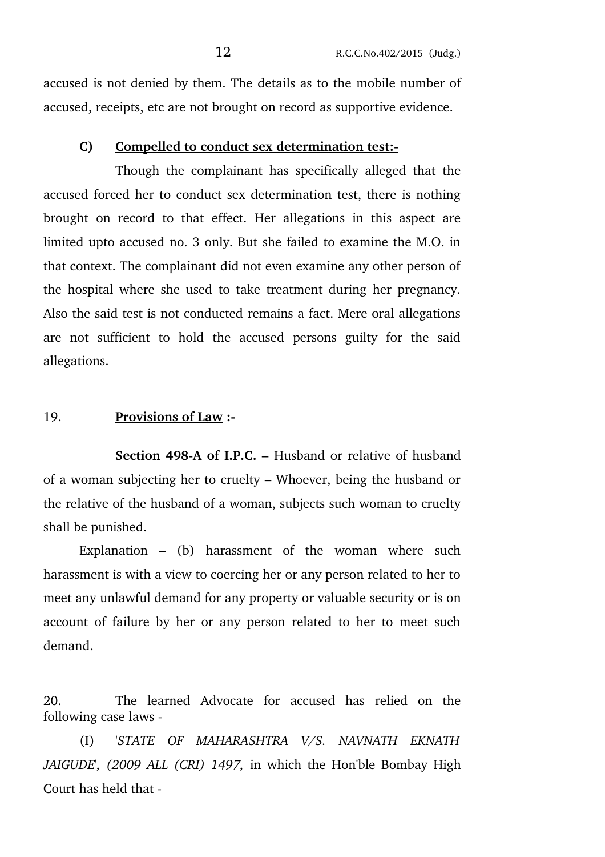accused is not denied by them. The details as to the mobile number of accused, receipts, etc are not brought on record as supportive evidence.

# **C) Compelled to conduct sex determination test:**

 Though the complainant has specifically alleged that the accused forced her to conduct sex determination test, there is nothing brought on record to that effect. Her allegations in this aspect are limited upto accused no. 3 only. But she failed to examine the M.O. in that context. The complainant did not even examine any other person of the hospital where she used to take treatment during her pregnancy. Also the said test is not conducted remains a fact. Mere oral allegations are not sufficient to hold the accused persons guilty for the said allegations.

#### 19. **Provisions of Law :**

**Section 498-A of I.P.C. – Husband or relative of husband** of a woman subjecting her to cruelty – Whoever, being the husband or the relative of the husband of a woman, subjects such woman to cruelty shall be punished.

Explanation  $-$  (b) harassment of the woman where such harassment is with a view to coercing her or any person related to her to meet any unlawful demand for any property or valuable security or is on account of failure by her or any person related to her to meet such demand.

20. The learned Advocate for accused has relied on the following case laws

(I) *'STATE OF MAHARASHTRA V/S. NAVNATH EKNATH JAIGUDE', (2009 ALL (CRI) 1497,* in which the Hon'ble Bombay High Court has held that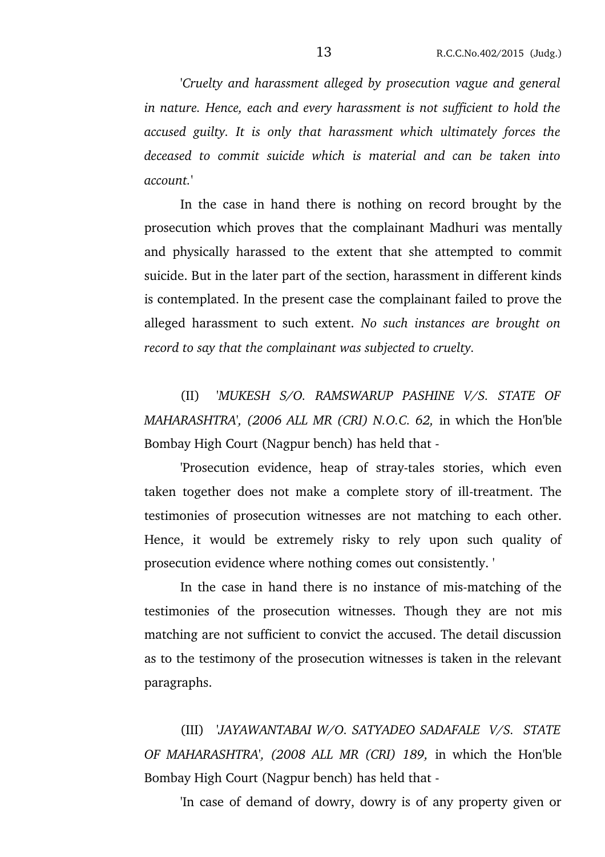*'Cruelty and harassment alleged by prosecution vague and general in nature. Hence, each and every harassment is not sufficient to hold the accused guilty. It is only that harassment which ultimately forces the deceased to commit suicide which is material and can be taken into account.'*

In the case in hand there is nothing on record brought by the prosecution which proves that the complainant Madhuri was mentally and physically harassed to the extent that she attempted to commit suicide. But in the later part of the section, harassment in different kinds is contemplated. In the present case the complainant failed to prove the alleged harassment to such extent. *No such instances are brought on record to say that the complainant was subjected to cruelty.*

(II) *'MUKESH S/O. RAMSWARUP PASHINE V/S. STATE OF MAHARASHTRA', (2006 ALL MR (CRI) N.O.C. 62,* in which the Hon'ble Bombay High Court (Nagpur bench) has held that

'Prosecution evidence, heap of stray-tales stories, which even taken together does not make a complete story of ill-treatment. The testimonies of prosecution witnesses are not matching to each other. Hence, it would be extremely risky to rely upon such quality of prosecution evidence where nothing comes out consistently. '

In the case in hand there is no instance of mis-matching of the testimonies of the prosecution witnesses. Though they are not mis matching are not sufficient to convict the accused. The detail discussion as to the testimony of the prosecution witnesses is taken in the relevant paragraphs.

(III) *'JAYAWANTABAI W/O. SATYADEO SADAFALE V/S. STATE OF MAHARASHTRA', (2008 ALL MR (CRI) 189,* in which the Hon'ble Bombay High Court (Nagpur bench) has held that

'In case of demand of dowry, dowry is of any property given or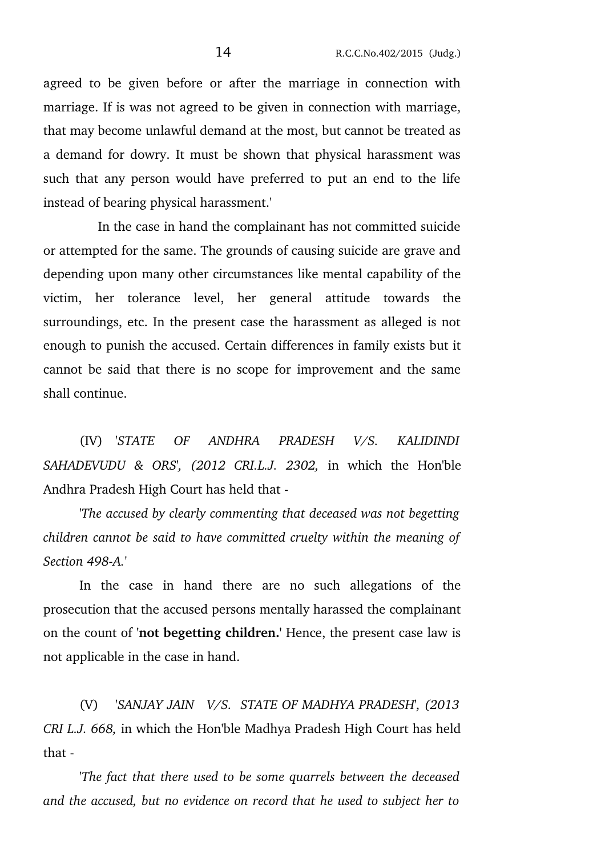agreed to be given before or after the marriage in connection with marriage. If is was not agreed to be given in connection with marriage, that may become unlawful demand at the most, but cannot be treated as a demand for dowry. It must be shown that physical harassment was such that any person would have preferred to put an end to the life instead of bearing physical harassment.*'*

 In the case in hand the complainant has not committed suicide or attempted for the same. The grounds of causing suicide are grave and depending upon many other circumstances like mental capability of the victim, her tolerance level, her general attitude towards the surroundings, etc. In the present case the harassment as alleged is not enough to punish the accused. Certain differences in family exists but it cannot be said that there is no scope for improvement and the same shall continue.

(IV) *'STATE OF ANDHRA PRADESH V/S. KALIDINDI SAHADEVUDU & ORS', (2012 CRI.L.J. 2302,* in which the Hon'ble Andhra Pradesh High Court has held that

'*The accused by clearly commenting that deceased was not begetting children cannot be said to have committed cruelty within the meaning of Section 498A.'*

In the case in hand there are no such allegations of the prosecution that the accused persons mentally harassed the complainant on the count of **'not begetting children.'** Hence, the present case law is not applicable in the case in hand.

(V) *'SANJAY JAIN V/S. STATE OF MADHYA PRADESH', (2013 CRI L.J. 668,* in which the Hon'ble Madhya Pradesh High Court has held that

*'The fact that there used to be some quarrels between the deceased and the accused, but no evidence on record that he used to subject her to*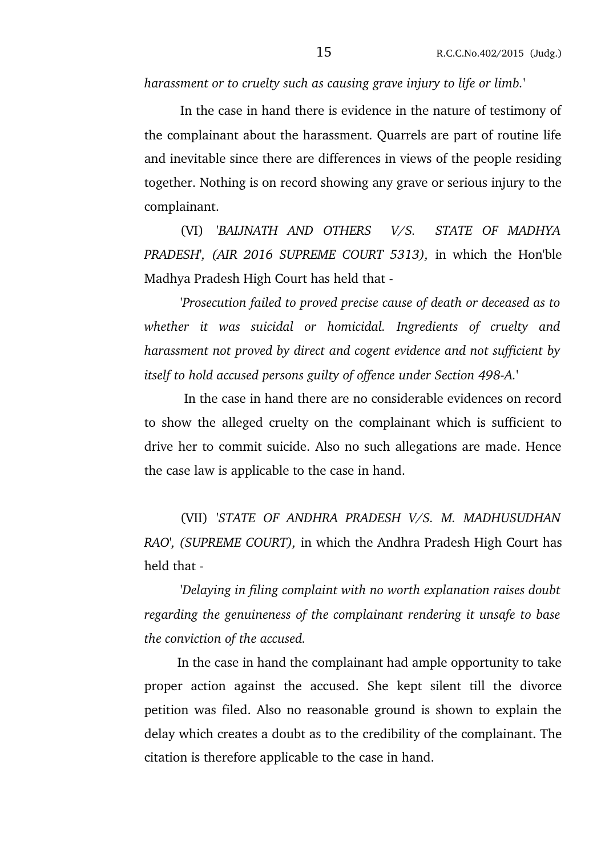*harassment or to cruelty such as causing grave injury to life or limb.'*

In the case in hand there is evidence in the nature of testimony of the complainant about the harassment. Quarrels are part of routine life and inevitable since there are differences in views of the people residing together. Nothing is on record showing any grave or serious injury to the complainant.

(VI) *'BAIJNATH AND OTHERS V/S. STATE OF MADHYA PRADESH', (AIR 2016 SUPREME COURT 5313),* in which the Hon'ble Madhya Pradesh High Court has held that

*'Prosecution failed to proved precise cause of death or deceased as to whether it was suicidal or homicidal. Ingredients of cruelty and harassment not proved by direct and cogent evidence and not sufficient by itself to hold accused persons guilty of offence under Section 498A.'*

 In the case in hand there are no considerable evidences on record to show the alleged cruelty on the complainant which is sufficient to drive her to commit suicide. Also no such allegations are made. Hence the case law is applicable to the case in hand.

(VII) *'STATE OF ANDHRA PRADESH V/S. M. MADHUSUDHAN RAO', (SUPREME COURT),* in which the Andhra Pradesh High Court has held that

*'Delaying in filing complaint with no worth explanation raises doubt regarding the genuineness of the complainant rendering it unsafe to base the conviction of the accused.* 

 In the case in hand the complainant had ample opportunity to take proper action against the accused. She kept silent till the divorce petition was filed. Also no reasonable ground is shown to explain the delay which creates a doubt as to the credibility of the complainant. The citation is therefore applicable to the case in hand.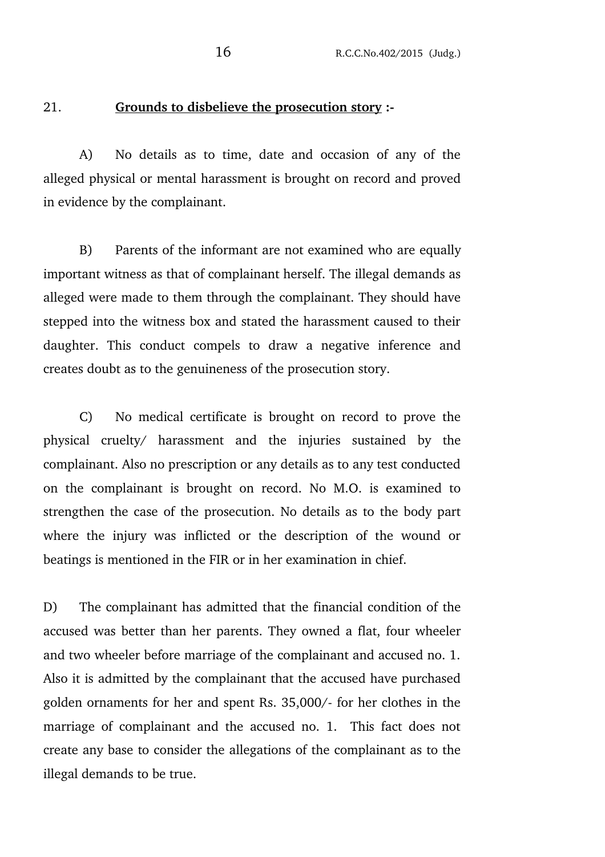#### 21. **Grounds to disbelieve the prosecution story :**

A) No details as to time, date and occasion of any of the alleged physical or mental harassment is brought on record and proved in evidence by the complainant.

B) Parents of the informant are not examined who are equally important witness as that of complainant herself. The illegal demands as alleged were made to them through the complainant. They should have stepped into the witness box and stated the harassment caused to their daughter. This conduct compels to draw a negative inference and creates doubt as to the genuineness of the prosecution story.

C) No medical certificate is brought on record to prove the physical cruelty/ harassment and the injuries sustained by the complainant. Also no prescription or any details as to any test conducted on the complainant is brought on record. No M.O. is examined to strengthen the case of the prosecution. No details as to the body part where the injury was inflicted or the description of the wound or beatings is mentioned in the FIR or in her examination in chief.

D) The complainant has admitted that the financial condition of the accused was better than her parents. They owned a flat, four wheeler and two wheeler before marriage of the complainant and accused no. 1. Also it is admitted by the complainant that the accused have purchased golden ornaments for her and spent Rs. 35,000/ for her clothes in the marriage of complainant and the accused no. 1. This fact does not create any base to consider the allegations of the complainant as to the illegal demands to be true.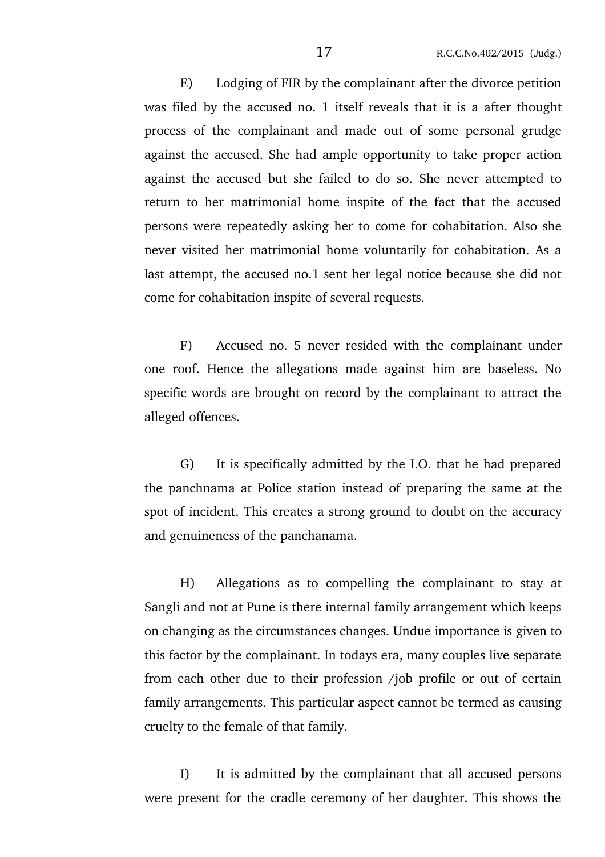E) Lodging of FIR by the complainant after the divorce petition was filed by the accused no. 1 itself reveals that it is a after thought process of the complainant and made out of some personal grudge against the accused. She had ample opportunity to take proper action against the accused but she failed to do so. She never attempted to return to her matrimonial home inspite of the fact that the accused persons were repeatedly asking her to come for cohabitation. Also she never visited her matrimonial home voluntarily for cohabitation. As a last attempt, the accused no.1 sent her legal notice because she did not come for cohabitation inspite of several requests.

F) Accused no. 5 never resided with the complainant under one roof. Hence the allegations made against him are baseless. No specific words are brought on record by the complainant to attract the alleged offences.

G) It is specifically admitted by the I.O. that he had prepared the panchnama at Police station instead of preparing the same at the spot of incident. This creates a strong ground to doubt on the accuracy and genuineness of the panchanama.

H) Allegations as to compelling the complainant to stay at Sangli and not at Pune is there internal family arrangement which keeps on changing as the circumstances changes. Undue importance is given to this factor by the complainant. In todays era, many couples live separate from each other due to their profession /job profile or out of certain family arrangements. This particular aspect cannot be termed as causing cruelty to the female of that family.

I) It is admitted by the complainant that all accused persons were present for the cradle ceremony of her daughter. This shows the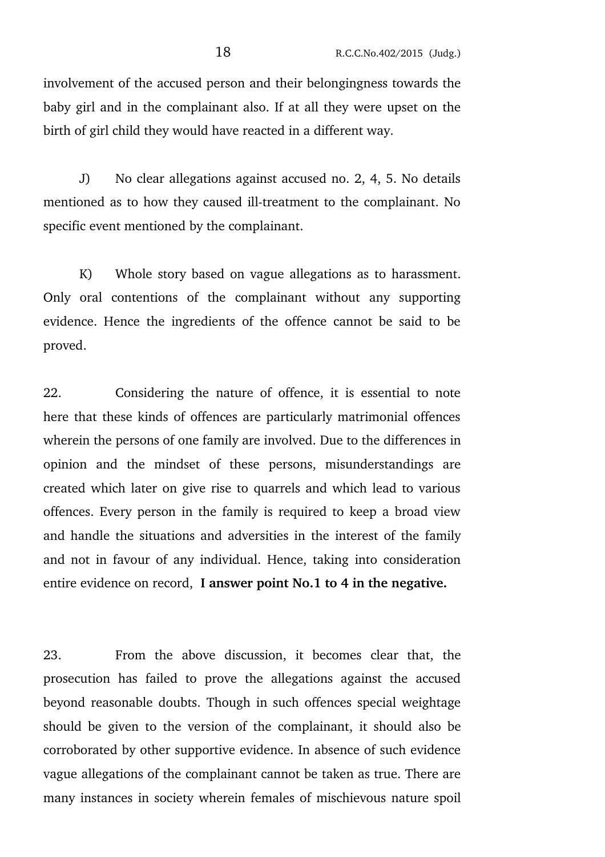involvement of the accused person and their belongingness towards the baby girl and in the complainant also. If at all they were upset on the birth of girl child they would have reacted in a different way.

J) No clear allegations against accused no. 2, 4, 5. No details mentioned as to how they caused ill-treatment to the complainant. No specific event mentioned by the complainant.

K) Whole story based on vague allegations as to harassment. Only oral contentions of the complainant without any supporting evidence. Hence the ingredients of the offence cannot be said to be proved.

22. Considering the nature of offence, it is essential to note here that these kinds of offences are particularly matrimonial offences wherein the persons of one family are involved. Due to the differences in opinion and the mindset of these persons, misunderstandings are created which later on give rise to quarrels and which lead to various offences. Every person in the family is required to keep a broad view and handle the situations and adversities in the interest of the family and not in favour of any individual. Hence, taking into consideration entire evidence on record,  **I answer point No.1 to 4 in the negative.**

23. From the above discussion, it becomes clear that, the prosecution has failed to prove the allegations against the accused beyond reasonable doubts. Though in such offences special weightage should be given to the version of the complainant, it should also be corroborated by other supportive evidence. In absence of such evidence vague allegations of the complainant cannot be taken as true. There are many instances in society wherein females of mischievous nature spoil